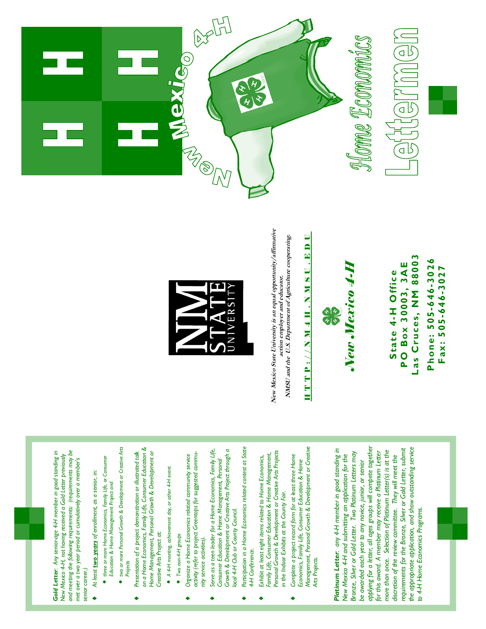

## **Phone: 505-646-3026**  Phone: 505-646-3026 **Fax: 505-646-3027** Fax: 505-646-3027

**Las Cruces, NM 88003**  Las Cruces, NM 88003 **PO Box 30003, 3AE PO Box 30003, 3AE** State 4-H Office **State 4-H Office**



## HTTP://NM4H.NMSU.EDU HTTP://NM4H.NMSU.BDU

NMSU and the U.S. Department of Agriculture cooperating. **NMSU and the U.S. Department of Agriculture cooperating. action employer and educator.**  action employer and educator.



*Gold Letter: Any senior-age 4-H member in good standing in New Mexico 4-H, not having received a Gold Letter previously and meeting the following requirements: (requirements may be met over a two year period or cumulatively over a member's* 

New Mexico 4-H, not having received a Gold Letter previously

Gold Letter: Any senior-age 4-H member in good standing in

and meeting the following requirements: (requirements may be

met over a two year period or cumulatively over a member's

*senior career.)* 

senior career.)

♦ *At least two years of enrollment, as a senior, in:* 

At least two years of enrollment, as a senior, in:

• *three or more Home Economics, Family Life, or Consumer Education & Home Management Project and* 

Education & Home Management Project and

· three or more Home Economics, Family Life, or Consumer

• *two or more Personal Growth & Development or Creative Arts* 

two or more Personal Growth & Development or Creative Arts

♦ *Presentation of a project demonstration or illustrated talk on a Home Economics, Family Life, Consumer Education & Home Management, Personal Growth & Development or* 

Presentation of a project demonstration or illustrated talk

on a Home Economics, Family Life, Consumer Education &

Home Management, Personal Growth & Development or

*Creative Arts Project at:* 

Creative Arts Project at:

• *A 4-H meeting, achievement day, or other 4-H event* 

 $\bullet$  A 4-H meeting, achievement day, or other 4-H event

• *Two non-4-H groups* 

 $\bullet$  Two non-4-H groups

♦ *Organize a Home Economics related community service activity (refer to project Greentops for suggested commu-*

Organize a Home Economics related community service

activity (refer to project Greentops for suggested commu-

*nity service activities).* 

nity service activities).

♦ *Serve as a teen leader for a Home Economics, Family Life, Consumer Education & Home Management, Personal Growth & Development or Creative Arts Project through a* 

Consumer Education & Home Management, Personal

Serve as a teen leader for a Home Economics, Family Life,

*local 4-H Club or County Council.* 

local 4-H Club or County Council.

Growth & Development or Creative Arts Project through a

♦ *Participation in a Home Economics related contest at State* 

Participation in a Home Economics related contest at State

*4-H Conference.* 

4-H Conference.

♦ *Exhibit at least eight items related to Home Economics, Family Life, Consumer Education & Home Management, Personal Growth & Development or Creative Arts Projects* 

Exhibit at least eight items related to Home Economics,

*in the Indoor Exhibits at the County Fair.* 

in the Indoor Exhibits at the County Fair.

Personal Growth & Development or Creative Arts Projects

Family Life, Consumer Education & Home Management,

*Arts Projects.* 

Arts Projects.

*Projects* 

New Mexico State University is an equal opportunity/affirmative **New Mexico State University is an equal opportunity/affirmative** 





*Management, Personal Growth & Development or Creative*  Management, Personal Growth & Development or Creative Platinum Letter: any 4-H member in good standing in ♦ *Complete a project record form for at least three Home*  Complete a project record form for at least three Home *Economics, Family Life, Consumer Education & Home*  Economics, Family Life, Consumer Education & Home

*applying for a letter, all ages groups will compete together the appropriate application, and show outstanding service*  applying for a letter, all ages groups will compete together *requirements for the Bronze, Silver or Gold Letter, submit Platinum Letter: any 4-H member in good standing in*  the appropriate application, and show outstanding service *more than once. Selection of Platinum Letter(s) is at the*  requirements for the Bronze, Silver or Gold Letter, submit *for this award. A member may receive a Platinum Letter Bronze, Silver or Gold Letter. Two Platinum Letters may*  for this award. A member may receive a Platinum Letter more than once. Selection of Platinum Letter(s) is at the Bronze, Silver or Gold Letter. Two Platinum Letters may *New Mexico 4-H and submitting an application for the discretion of the review committee. They will meet the*  New Mexico 4-H and submitting an application for the discretion of the review committee. They will meet the be awarded each year to any novice, junior, or senior *be awarded each year to any novice, junior, or senior*